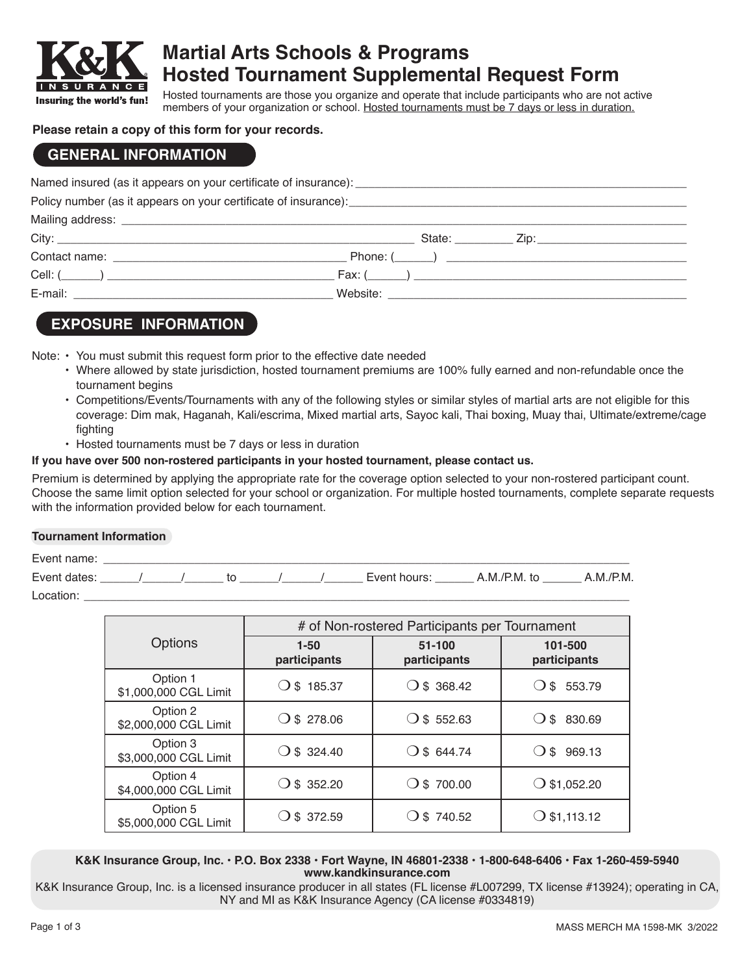

# **Martial Arts Schools & Programs Hosted Tournament Supplemental Request Form**

Hosted tournaments are those you organize and operate that include participants who are not active members of your organization or school. Hosted tournaments must be 7 days or less in duration.

#### **Please retain a copy of this form for your records.**

### **GENERAL INFORMATION**

|  | State: <u>Zip: Zip:</u> |  |  |
|--|-------------------------|--|--|
|  |                         |  |  |
|  |                         |  |  |
|  |                         |  |  |
|  |                         |  |  |

### **EXPOSURE INFORMATION**

Note: • You must submit this request form prior to the effective date needed

- Where allowed by state jurisdiction, hosted tournament premiums are 100% fully earned and non-refundable once the tournament begins
- Competitions/Events/Tournaments with any of the following styles or similar styles of martial arts are not eligible for this coverage: Dim mak, Haganah, Kali/escrima, Mixed martial arts, Sayoc kali, Thai boxing, Muay thai, Ultimate/extreme/cage fighting
- Hosted tournaments must be 7 days or less in duration

#### **If you have over 500 non-rostered participants in your hosted tournament, please contact us.**

Premium is determined by applying the appropriate rate for the coverage option selected to your non-rostered participant count. Choose the same limit option selected for your school or organization. For multiple hosted tournaments, complete separate requests with the information provided below for each tournament.

#### **Tournament Information**

| Event name:  |  |  |  |              |              |          |
|--------------|--|--|--|--------------|--------------|----------|
| Event dates: |  |  |  | Event hours: | A.M./P.M. to | A.M/P.M. |
| Location     |  |  |  |              |              |          |

|                                   | # of Non-rostered Participants per Tournament |                        |                         |  |  |
|-----------------------------------|-----------------------------------------------|------------------------|-------------------------|--|--|
| Options                           | $1 - 50$<br>participants                      | 51-100<br>participants | 101-500<br>participants |  |  |
| Option 1<br>\$1,000,000 CGL Limit | \$185.37                                      | \$368.42               | \$<br>553.79            |  |  |
| Option 2<br>\$2,000,000 CGL Limit | $O$ \$ 278.06                                 | \$552.63<br>0          | \$ 830.69               |  |  |
| Option 3<br>\$3,000,000 CGL Limit | \$324.40                                      | \$644.74               | \$969.13                |  |  |
| Option 4<br>\$4,000,000 CGL Limit | $\bigcirc$ \$ 352.20                          | $\bigcirc$ \$ 700.00   | $\bigcirc$ \$1,052.20   |  |  |
| Option 5<br>\$5,000,000 CGL Limit | \$ 372.59                                     | \$740.52               | $\bigcirc$ \$1,113.12   |  |  |

**K&K Insurance Group, Inc. • P.O. Box 2338 • Fort Wayne, IN 46801-2338 • 1-800-648-6406 • Fax 1-260-459-5940 www.kandkinsurance.com**

K&K Insurance Group, Inc. is a licensed insurance producer in all states (FL license #L007299, TX license #13924); operating in CA, NY and MI as K&K Insurance Agency (CA license #0334819)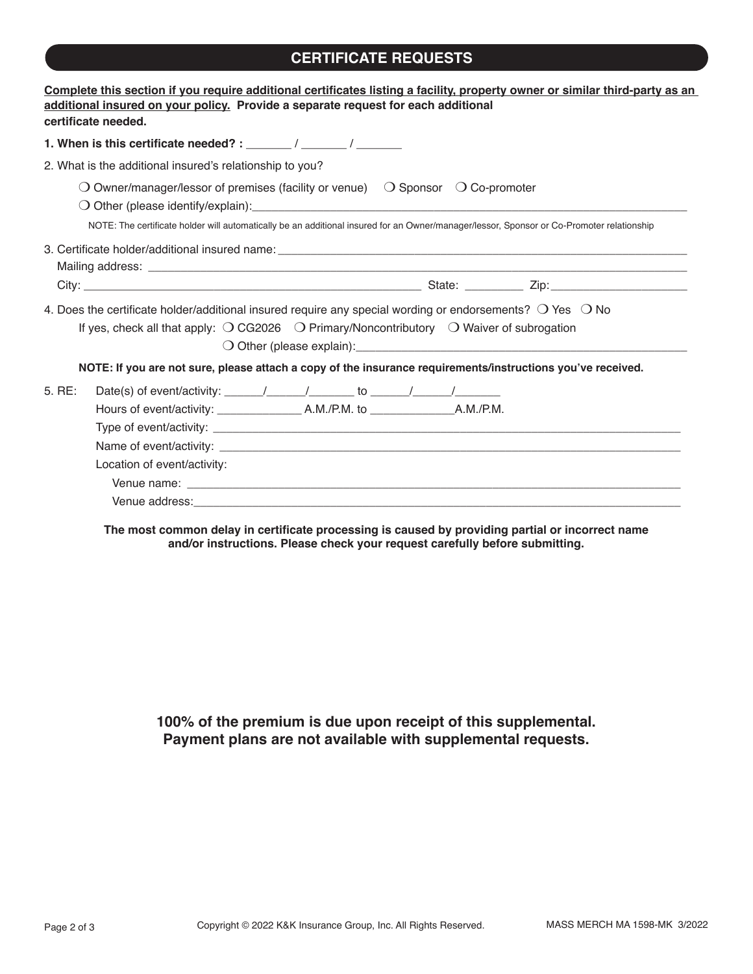## **CERTIFICATE REQUESTS**

| certificate needed. | Complete this section if you require additional certificates listing a facility, property owner or similar third-party as an<br>additional insured on your policy. Provide a separate request for each additional                                                                                                                                                                                                                                                                  |
|---------------------|------------------------------------------------------------------------------------------------------------------------------------------------------------------------------------------------------------------------------------------------------------------------------------------------------------------------------------------------------------------------------------------------------------------------------------------------------------------------------------|
|                     | 1. When is this certificate needed? : $\frac{1}{2}$ / $\frac{1}{2}$ / $\frac{1}{2}$                                                                                                                                                                                                                                                                                                                                                                                                |
|                     | 2. What is the additional insured's relationship to you?                                                                                                                                                                                                                                                                                                                                                                                                                           |
|                     | $\bigcirc$ Owner/manager/lessor of premises (facility or venue) $\bigcirc$ Sponsor $\bigcirc$ Co-promoter<br>NOTE: The certificate holder will automatically be an additional insured for an Owner/manager/lessor, Sponsor or Co-Promoter relationship                                                                                                                                                                                                                             |
|                     |                                                                                                                                                                                                                                                                                                                                                                                                                                                                                    |
|                     | 4. Does the certificate holder/additional insured require any special wording or endorsements? $\bigcirc$ Yes $\bigcirc$ No<br>If yes, check all that apply: $\bigcirc$ CG2026 $\bigcirc$ Primary/Noncontributory $\bigcirc$ Waiver of subrogation<br>O Other (please explain): example and contact the contract of the contract of the contract of the contract of<br>NOTE: If you are not sure, please attach a copy of the insurance requirements/instructions you've received. |
| 5. RE:              | Date(s) of event/activity: $\frac{1}{\sqrt{1-\frac{1}{1-\frac{1}{1-\frac{1}{1-\frac{1}{1-\frac{1}{1-\frac{1}{1-\frac{1}{1-\frac{1}{1-\frac{1}{1-\frac{1}{1-\frac{1}{1-\frac{1}{1-\frac{1}{1-\frac{1}{1-\frac{1}{1-\frac{1}{1-\frac{1}{1-\frac{1}{1-\frac{1}{1-\frac{1}{1-\frac{1}{1-\frac{1}{1-\frac{1}{1-\frac{1}{1-\frac{1}{1-\frac{1}{1-\frac{1}{1-\frac{1}{1-\frac{1}{1-\frac{1}{1-\frac{1$<br>Location of event/activity:                                                     |

**The most common delay in certificate processing is caused by providing partial or incorrect name and/or instructions. Please check your request carefully before submitting.**

**100% of the premium is due upon receipt of this supplemental. Payment plans are not available with supplemental requests.**